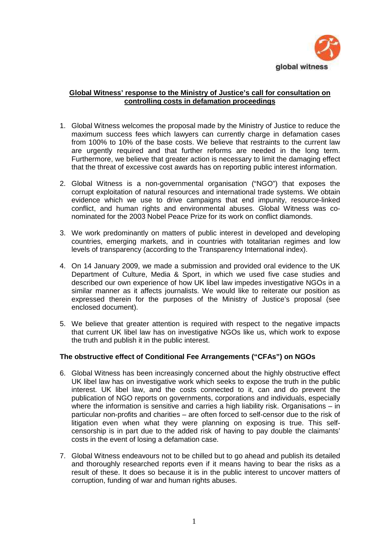

# **Global Witness' response to the Ministry of Justice's call for consultation on controlling costs in defamation proceedings**

- 1. Global Witness welcomes the proposal made by the Ministry of Justice to reduce the maximum success fees which lawyers can currently charge in defamation cases from 100% to 10% of the base costs. We believe that restraints to the current law are urgently required and that further reforms are needed in the long term. Furthermore, we believe that greater action is necessary to limit the damaging effect that the threat of excessive cost awards has on reporting public interest information.
- 2. Global Witness is a non-governmental organisation ("NGO") that exposes the corrupt exploitation of natural resources and international trade systems. We obtain evidence which we use to drive campaigns that end impunity, resource-linked conflict, and human rights and environmental abuses. Global Witness was conominated for the 2003 Nobel Peace Prize for its work on conflict diamonds.
- 3. We work predominantly on matters of public interest in developed and developing countries, emerging markets, and in countries with totalitarian regimes and low levels of transparency (according to the Transparency International index).
- 4. On 14 January 2009, we made a submission and provided oral evidence to the UK Department of Culture, Media & Sport, in which we used five case studies and described our own experience of how UK libel law impedes investigative NGOs in a similar manner as it affects journalists. We would like to reiterate our position as expressed therein for the purposes of the Ministry of Justice's proposal (see enclosed document).
- 5. We believe that greater attention is required with respect to the negative impacts that current UK libel law has on investigative NGOs like us, which work to expose the truth and publish it in the public interest.

## **The obstructive effect of Conditional Fee Arrangements ("CFAs") on NGOs**

- 6. Global Witness has been increasingly concerned about the highly obstructive effect UK libel law has on investigative work which seeks to expose the truth in the public interest. UK libel law, and the costs connected to it, can and do prevent the publication of NGO reports on governments, corporations and individuals, especially where the information is sensitive and carries a high liability risk. Organisations – in particular non-profits and charities – are often forced to self-censor due to the risk of litigation even when what they were planning on exposing is true. This selfcensorship is in part due to the added risk of having to pay double the claimants' costs in the event of losing a defamation case.
- 7. Global Witness endeavours not to be chilled but to go ahead and publish its detailed and thoroughly researched reports even if it means having to bear the risks as a result of these. It does so because it is in the public interest to uncover matters of corruption, funding of war and human rights abuses.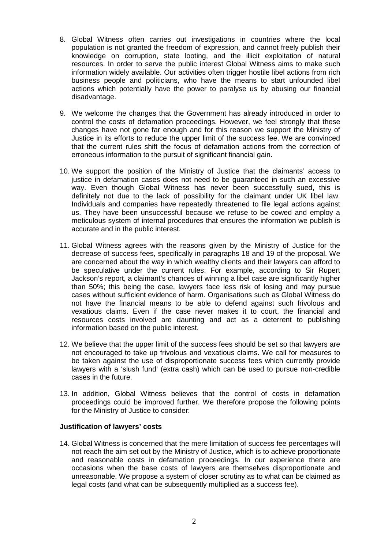- 8. Global Witness often carries out investigations in countries where the local population is not granted the freedom of expression, and cannot freely publish their knowledge on corruption, state looting, and the illicit exploitation of natural resources. In order to serve the public interest Global Witness aims to make such information widely available. Our activities often trigger hostile libel actions from rich business people and politicians, who have the means to start unfounded libel actions which potentially have the power to paralyse us by abusing our financial disadvantage.
- 9. We welcome the changes that the Government has already introduced in order to control the costs of defamation proceedings. However, we feel strongly that these changes have not gone far enough and for this reason we support the Ministry of Justice in its efforts to reduce the upper limit of the success fee. We are convinced that the current rules shift the focus of defamation actions from the correction of erroneous information to the pursuit of significant financial gain.
- 10. We support the position of the Ministry of Justice that the claimants' access to justice in defamation cases does not need to be guaranteed in such an excessive way. Even though Global Witness has never been successfully sued, this is definitely not due to the lack of possibility for the claimant under UK libel law. Individuals and companies have repeatedly threatened to file legal actions against us. They have been unsuccessful because we refuse to be cowed and employ a meticulous system of internal procedures that ensures the information we publish is accurate and in the public interest.
- 11. Global Witness agrees with the reasons given by the Ministry of Justice for the decrease of success fees, specifically in paragraphs 18 and 19 of the proposal. We are concerned about the way in which wealthy clients and their lawyers can afford to be speculative under the current rules. For example, according to Sir Rupert Jackson's report, a claimant's chances of winning a libel case are significantly higher than 50%; this being the case, lawyers face less risk of losing and may pursue cases without sufficient evidence of harm. Organisations such as Global Witness do not have the financial means to be able to defend against such frivolous and vexatious claims. Even if the case never makes it to court, the financial and resources costs involved are daunting and act as a deterrent to publishing information based on the public interest.
- 12. We believe that the upper limit of the success fees should be set so that lawyers are not encouraged to take up frivolous and vexatious claims. We call for measures to be taken against the use of disproportionate success fees which currently provide lawyers with a 'slush fund' (extra cash) which can be used to pursue non-credible cases in the future.
- 13. In addition, Global Witness believes that the control of costs in defamation proceedings could be improved further. We therefore propose the following points for the Ministry of Justice to consider:

#### **Justification of lawyers' costs**

14. Global Witness is concerned that the mere limitation of success fee percentages will not reach the aim set out by the Ministry of Justice, which is to achieve proportionate and reasonable costs in defamation proceedings. In our experience there are occasions when the base costs of lawyers are themselves disproportionate and unreasonable. We propose a system of closer scrutiny as to what can be claimed as legal costs (and what can be subsequently multiplied as a success fee).